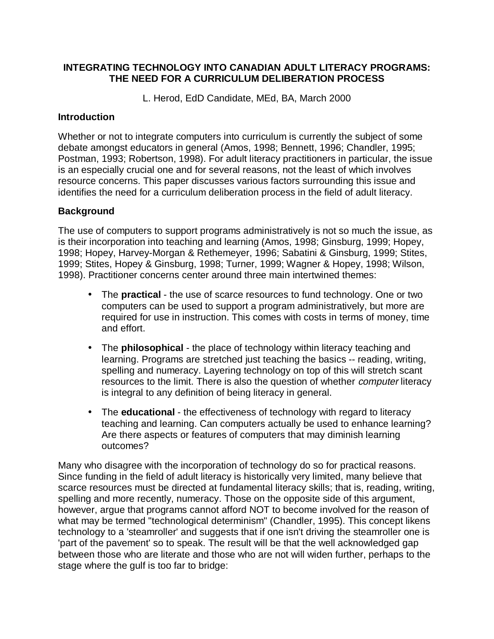### **INTEGRATING TECHNOLOGY INTO CANADIAN ADULT LITERACY PROGRAMS: THE NEED FOR A CURRICULUM DELIBERATION PROCESS**

L. Herod, EdD Candidate, MEd, BA, March 2000

#### **Introduction**

Whether or not to integrate computers into curriculum is currently the subject of some debate amongst educators in general (Amos, 1998; Bennett, 1996; Chandler, 1995; Postman, 1993; Robertson, 1998). For adult literacy practitioners in particular, the issue is an especially crucial one and for several reasons, not the least of which involves resource concerns. This paper discusses various factors surrounding this issue and identifies the need for a curriculum deliberation process in the field of adult literacy.

# **Background**

The use of computers to support programs administratively is not so much the issue, as is their incorporation into teaching and learning (Amos, 1998; Ginsburg, 1999; Hopey, 1998; Hopey, Harvey-Morgan & Rethemeyer, 1996; Sabatini & Ginsburg, 1999; Stites, 1999; Stites, Hopey & Ginsburg, 1998; Turner, 1999; Wagner & Hopey, 1998; Wilson, 1998). Practitioner concerns center around three main intertwined themes:

- The **practical** the use of scarce resources to fund technology. One or two computers can be used to support a program administratively, but more are required for use in instruction. This comes with costs in terms of money, time and effort.
- The **philosophical**  the place of technology within literacy teaching and learning. Programs are stretched just teaching the basics -- reading, writing, spelling and numeracy. Layering technology on top of this will stretch scant resources to the limit. There is also the question of whether *computer* literacy is integral to any definition of being literacy in general.
- The **educational**  the effectiveness of technology with regard to literacy teaching and learning. Can computers actually be used to enhance learning? Are there aspects or features of computers that may diminish learning outcomes?

Many who disagree with the incorporation of technology do so for practical reasons. Since funding in the field of adult literacy is historically very limited, many believe that scarce resources must be directed at fundamental literacy skills; that is, reading, writing, spelling and more recently, numeracy. Those on the opposite side of this argument, however, argue that programs cannot afford NOT to become involved for the reason of what may be termed "technological determinism" (Chandler, 1995). This concept likens technology to a 'steamroller' and suggests that if one isn't driving the steamroller one is 'part of the pavement' so to speak. The result will be that the well acknowledged gap between those who are literate and those who are not will widen further, perhaps to the stage where the gulf is too far to bridge: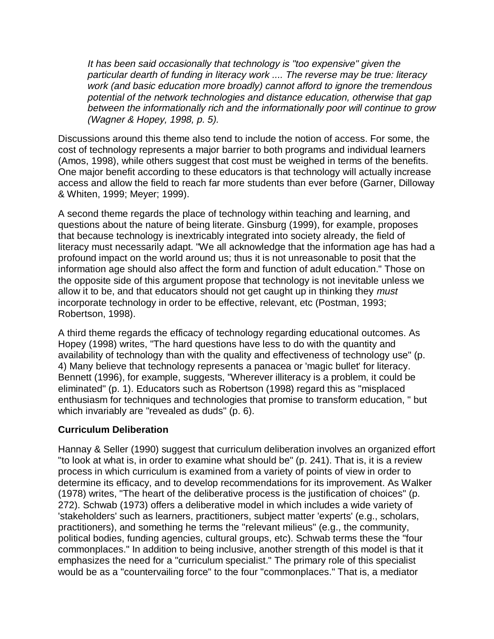It has been said occasionally that technology is "too expensive" given the particular dearth of funding in literacy work .... The reverse may be true: literacy work (and basic education more broadly) cannot afford to ignore the tremendous potential of the network technologies and distance education, otherwise that gap between the informationally rich and the informationally poor will continue to grow (Wagner & Hopey, 1998, p. 5).

Discussions around this theme also tend to include the notion of access. For some, the cost of technology represents a major barrier to both programs and individual learners (Amos, 1998), while others suggest that cost must be weighed in terms of the benefits. One major benefit according to these educators is that technology will actually increase access and allow the field to reach far more students than ever before (Garner, Dilloway & Whiten, 1999; Meyer; 1999).

A second theme regards the place of technology within teaching and learning, and questions about the nature of being literate. Ginsburg (1999), for example, proposes that because technology is inextricably integrated into society already, the field of literacy must necessarily adapt. "We all acknowledge that the information age has had a profound impact on the world around us; thus it is not unreasonable to posit that the information age should also affect the form and function of adult education." Those on the opposite side of this argument propose that technology is not inevitable unless we allow it to be, and that educators should not get caught up in thinking they must incorporate technology in order to be effective, relevant, etc (Postman, 1993; Robertson, 1998).

A third theme regards the efficacy of technology regarding educational outcomes. As Hopey (1998) writes, "The hard questions have less to do with the quantity and availability of technology than with the quality and effectiveness of technology use" (p. 4) Many believe that technology represents a panacea or 'magic bullet' for literacy. Bennett (1996), for example, suggests, "Wherever illiteracy is a problem, it could be eliminated" (p. 1). Educators such as Robertson (1998) regard this as "misplaced enthusiasm for techniques and technologies that promise to transform education, " but which invariably are "revealed as duds" (p. 6).

#### **Curriculum Deliberation**

Hannay & Seller (1990) suggest that curriculum deliberation involves an organized effort "to look at what is, in order to examine what should be" (p. 241). That is, it is a review process in which curriculum is examined from a variety of points of view in order to determine its efficacy, and to develop recommendations for its improvement. As Walker (1978) writes, "The heart of the deliberative process is the justification of choices" (p. 272). Schwab (1973) offers a deliberative model in which includes a wide variety of 'stakeholders' such as learners, practitioners, subject matter 'experts' (e.g., scholars, practitioners), and something he terms the "relevant milieus" (e.g., the community, political bodies, funding agencies, cultural groups, etc). Schwab terms these the "four commonplaces." In addition to being inclusive, another strength of this model is that it emphasizes the need for a "curriculum specialist." The primary role of this specialist would be as a "countervailing force" to the four "commonplaces." That is, a mediator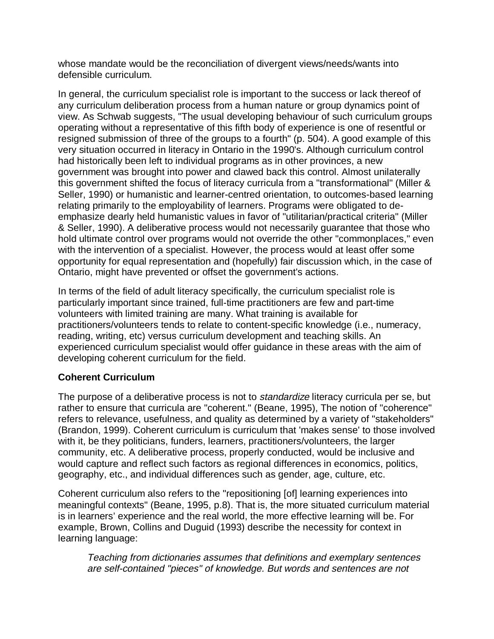whose mandate would be the reconciliation of divergent views/needs/wants into defensible curriculum.

In general, the curriculum specialist role is important to the success or lack thereof of any curriculum deliberation process from a human nature or group dynamics point of view. As Schwab suggests, "The usual developing behaviour of such curriculum groups operating without a representative of this fifth body of experience is one of resentful or resigned submission of three of the groups to a fourth" (p. 504). A good example of this very situation occurred in literacy in Ontario in the 1990's. Although curriculum control had historically been left to individual programs as in other provinces, a new government was brought into power and clawed back this control. Almost unilaterally this government shifted the focus of literacy curricula from a "transformational" (Miller & Seller, 1990) or humanistic and learner-centred orientation, to outcomes-based learning relating primarily to the employability of learners. Programs were obligated to deemphasize dearly held humanistic values in favor of "utilitarian/practical criteria" (Miller & Seller, 1990). A deliberative process would not necessarily guarantee that those who hold ultimate control over programs would not override the other "commonplaces," even with the intervention of a specialist. However, the process would at least offer some opportunity for equal representation and (hopefully) fair discussion which, in the case of Ontario, might have prevented or offset the government's actions.

In terms of the field of adult literacy specifically, the curriculum specialist role is particularly important since trained, full-time practitioners are few and part-time volunteers with limited training are many. What training is available for practitioners/volunteers tends to relate to content-specific knowledge (i.e., numeracy, reading, writing, etc) versus curriculum development and teaching skills. An experienced curriculum specialist would offer guidance in these areas with the aim of developing coherent curriculum for the field.

#### **Coherent Curriculum**

The purpose of a deliberative process is not to *standardize* literacy curricula per se, but rather to ensure that curricula are "coherent." (Beane, 1995), The notion of "coherence" refers to relevance, usefulness, and quality as determined by a variety of "stakeholders" (Brandon, 1999). Coherent curriculum is curriculum that 'makes sense' to those involved with it, be they politicians, funders, learners, practitioners/volunteers, the larger community, etc. A deliberative process, properly conducted, would be inclusive and would capture and reflect such factors as regional differences in economics, politics, geography, etc., and individual differences such as gender, age, culture, etc.

Coherent curriculum also refers to the "repositioning [of] learning experiences into meaningful contexts" (Beane, 1995, p.8). That is, the more situated curriculum material is in learners' experience and the real world, the more effective learning will be. For example, Brown, Collins and Duguid (1993) describe the necessity for context in learning language:

Teaching from dictionaries assumes that definitions and exemplary sentences are self-contained "pieces" of knowledge. But words and sentences are not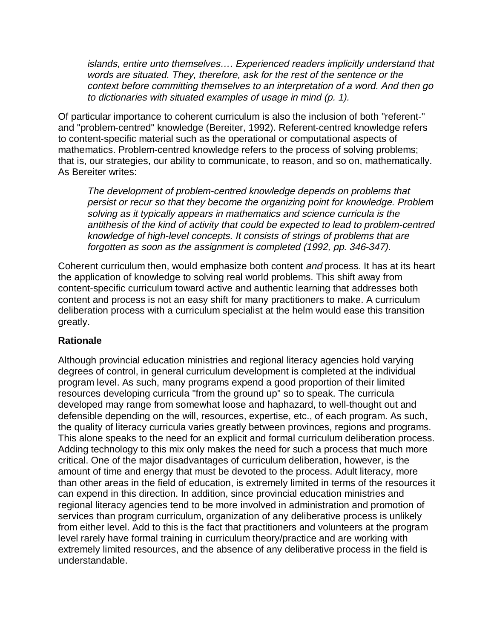islands, entire unto themselves…. Experienced readers implicitly understand that words are situated. They, therefore, ask for the rest of the sentence or the context before committing themselves to an interpretation of a word. And then go to dictionaries with situated examples of usage in mind (p. 1).

Of particular importance to coherent curriculum is also the inclusion of both "referent-" and "problem-centred" knowledge (Bereiter, 1992). Referent-centred knowledge refers to content-specific material such as the operational or computational aspects of mathematics. Problem-centred knowledge refers to the process of solving problems; that is, our strategies, our ability to communicate, to reason, and so on, mathematically. As Bereiter writes:

The development of problem-centred knowledge depends on problems that persist or recur so that they become the organizing point for knowledge. Problem solving as it typically appears in mathematics and science curricula is the antithesis of the kind of activity that could be expected to lead to problem-centred knowledge of high-level concepts. It consists of strings of problems that are forgotten as soon as the assignment is completed (1992, pp. 346-347).

Coherent curriculum then, would emphasize both content and process. It has at its heart the application of knowledge to solving real world problems. This shift away from content-specific curriculum toward active and authentic learning that addresses both content and process is not an easy shift for many practitioners to make. A curriculum deliberation process with a curriculum specialist at the helm would ease this transition greatly.

# **Rationale**

Although provincial education ministries and regional literacy agencies hold varying degrees of control, in general curriculum development is completed at the individual program level. As such, many programs expend a good proportion of their limited resources developing curricula "from the ground up" so to speak. The curricula developed may range from somewhat loose and haphazard, to well-thought out and defensible depending on the will, resources, expertise, etc., of each program. As such, the quality of literacy curricula varies greatly between provinces, regions and programs. This alone speaks to the need for an explicit and formal curriculum deliberation process. Adding technology to this mix only makes the need for such a process that much more critical. One of the major disadvantages of curriculum deliberation, however, is the amount of time and energy that must be devoted to the process. Adult literacy, more than other areas in the field of education, is extremely limited in terms of the resources it can expend in this direction. In addition, since provincial education ministries and regional literacy agencies tend to be more involved in administration and promotion of services than program curriculum, organization of any deliberative process is unlikely from either level. Add to this is the fact that practitioners and volunteers at the program level rarely have formal training in curriculum theory/practice and are working with extremely limited resources, and the absence of any deliberative process in the field is understandable.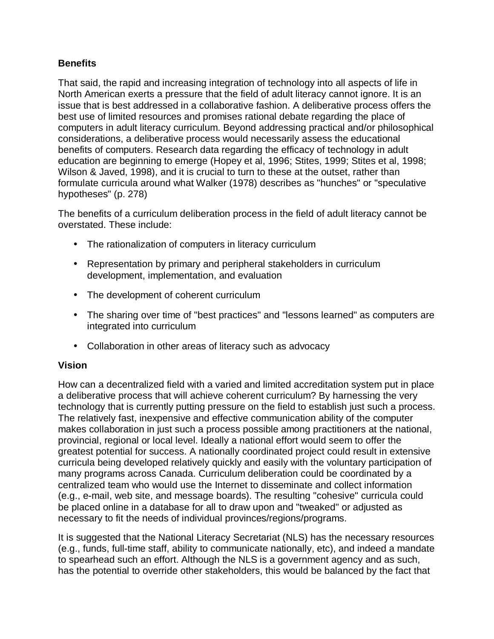# **Benefits**

That said, the rapid and increasing integration of technology into all aspects of life in North American exerts a pressure that the field of adult literacy cannot ignore. It is an issue that is best addressed in a collaborative fashion. A deliberative process offers the best use of limited resources and promises rational debate regarding the place of computers in adult literacy curriculum. Beyond addressing practical and/or philosophical considerations, a deliberative process would necessarily assess the educational benefits of computers. Research data regarding the efficacy of technology in adult education are beginning to emerge (Hopey et al, 1996; Stites, 1999; Stites et al, 1998; Wilson & Javed, 1998), and it is crucial to turn to these at the outset, rather than formulate curricula around what Walker (1978) describes as "hunches" or "speculative hypotheses" (p. 278)

The benefits of a curriculum deliberation process in the field of adult literacy cannot be overstated. These include:

- The rationalization of computers in literacy curriculum
- Representation by primary and peripheral stakeholders in curriculum development, implementation, and evaluation
- The development of coherent curriculum
- The sharing over time of "best practices" and "lessons learned" as computers are integrated into curriculum
- Collaboration in other areas of literacy such as advocacy

#### **Vision**

How can a decentralized field with a varied and limited accreditation system put in place a deliberative process that will achieve coherent curriculum? By harnessing the very technology that is currently putting pressure on the field to establish just such a process. The relatively fast, inexpensive and effective communication ability of the computer makes collaboration in just such a process possible among practitioners at the national, provincial, regional or local level. Ideally a national effort would seem to offer the greatest potential for success. A nationally coordinated project could result in extensive curricula being developed relatively quickly and easily with the voluntary participation of many programs across Canada. Curriculum deliberation could be coordinated by a centralized team who would use the Internet to disseminate and collect information (e.g., e-mail, web site, and message boards). The resulting "cohesive" curricula could be placed online in a database for all to draw upon and "tweaked" or adjusted as necessary to fit the needs of individual provinces/regions/programs.

It is suggested that the National Literacy Secretariat (NLS) has the necessary resources (e.g., funds, full-time staff, ability to communicate nationally, etc), and indeed a mandate to spearhead such an effort. Although the NLS is a government agency and as such, has the potential to override other stakeholders, this would be balanced by the fact that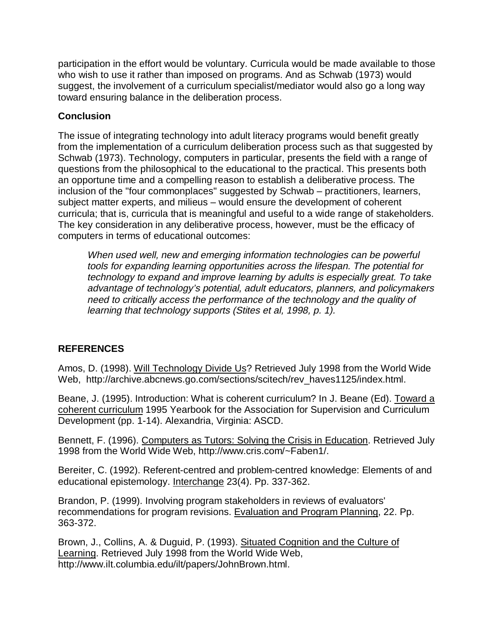participation in the effort would be voluntary. Curricula would be made available to those who wish to use it rather than imposed on programs. And as Schwab (1973) would suggest, the involvement of a curriculum specialist/mediator would also go a long way toward ensuring balance in the deliberation process.

### **Conclusion**

The issue of integrating technology into adult literacy programs would benefit greatly from the implementation of a curriculum deliberation process such as that suggested by Schwab (1973). Technology, computers in particular, presents the field with a range of questions from the philosophical to the educational to the practical. This presents both an opportune time and a compelling reason to establish a deliberative process. The inclusion of the "four commonplaces" suggested by Schwab – practitioners, learners, subject matter experts, and milieus – would ensure the development of coherent curricula; that is, curricula that is meaningful and useful to a wide range of stakeholders. The key consideration in any deliberative process, however, must be the efficacy of computers in terms of educational outcomes:

When used well, new and emerging information technologies can be powerful tools for expanding learning opportunities across the lifespan. The potential for technology to expand and improve learning by adults is especially great. To take advantage of technology's potential, adult educators, planners, and policymakers need to critically access the performance of the technology and the quality of learning that technology supports (Stites et al, 1998, p. 1).

# **REFERENCES**

Amos, D. (1998). Will Technology Divide Us? Retrieved July 1998 from the World Wide Web, http://archive.abcnews.go.com/sections/scitech/rev\_haves1125/index.html.

Beane, J. (1995). Introduction: What is coherent curriculum? In J. Beane (Ed). Toward a coherent curriculum 1995 Yearbook for the Association for Supervision and Curriculum Development (pp. 1-14). Alexandria, Virginia: ASCD.

Bennett, F. (1996). Computers as Tutors: Solving the Crisis in Education. Retrieved July 1998 from the World Wide Web, http://www.cris.com/~Faben1/.

Bereiter, C. (1992). Referent-centred and problem-centred knowledge: Elements of and educational epistemology. Interchange 23(4). Pp. 337-362.

Brandon, P. (1999). Involving program stakeholders in reviews of evaluators' recommendations for program revisions. Evaluation and Program Planning, 22. Pp. 363-372.

Brown, J., Collins, A. & Duguid, P. (1993). Situated Cognition and the Culture of Learning. Retrieved July 1998 from the World Wide Web, http://www.ilt.columbia.edu/ilt/papers/JohnBrown.html.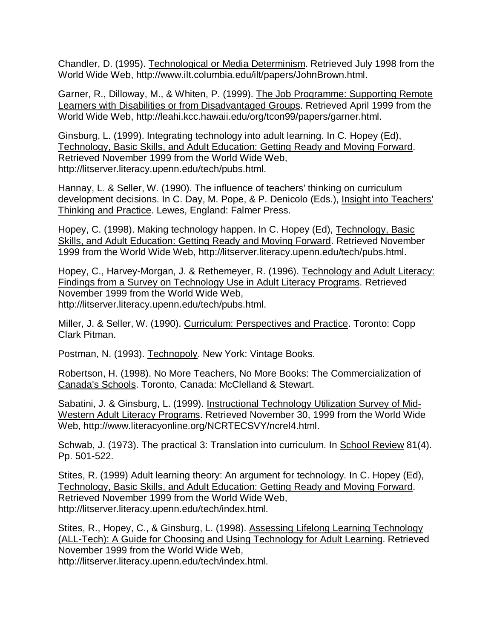Chandler, D. (1995). Technological or Media Determinism. Retrieved July 1998 from the World Wide Web, http://www.ilt.columbia.edu/ilt/papers/JohnBrown.html.

Garner, R., Dilloway, M., & Whiten, P. (1999). The Job Programme: Supporting Remote Learners with Disabilities or from Disadvantaged Groups. Retrieved April 1999 from the World Wide Web, http://leahi.kcc.hawaii.edu/org/tcon99/papers/garner.html.

Ginsburg, L. (1999). Integrating technology into adult learning. In C. Hopey (Ed), Technology, Basic Skills, and Adult Education: Getting Ready and Moving Forward. Retrieved November 1999 from the World Wide Web, http://litserver.literacy.upenn.edu/tech/pubs.html.

Hannay, L. & Seller, W. (1990). The influence of teachers' thinking on curriculum development decisions. In C. Day, M. Pope, & P. Denicolo (Eds.), Insight into Teachers' Thinking and Practice. Lewes, England: Falmer Press.

Hopey, C. (1998). Making technology happen. In C. Hopey (Ed), Technology, Basic Skills, and Adult Education: Getting Ready and Moving Forward. Retrieved November 1999 from the World Wide Web, http://litserver.literacy.upenn.edu/tech/pubs.html.

Hopey, C., Harvey-Morgan, J. & Rethemeyer, R. (1996). Technology and Adult Literacy: Findings from a Survey on Technology Use in Adult Literacy Programs. Retrieved November 1999 from the World Wide Web, http://litserver.literacy.upenn.edu/tech/pubs.html.

Miller, J. & Seller, W. (1990). Curriculum: Perspectives and Practice. Toronto: Copp Clark Pitman.

Postman, N. (1993). Technopoly. New York: Vintage Books.

Robertson, H. (1998). No More Teachers, No More Books: The Commercialization of Canada's Schools. Toronto, Canada: McClelland & Stewart.

Sabatini, J. & Ginsburg, L. (1999). Instructional Technology Utilization Survey of Mid-Western Adult Literacy Programs. Retrieved November 30, 1999 from the World Wide Web, http://www.literacyonline.org/NCRTECSVY/ncrel4.html.

Schwab, J. (1973). The practical 3: Translation into curriculum. In School Review 81(4). Pp. 501-522.

Stites, R. (1999) Adult learning theory: An argument for technology. In C. Hopey (Ed), Technology, Basic Skills, and Adult Education: Getting Ready and Moving Forward. Retrieved November 1999 from the World Wide Web, http://litserver.literacy.upenn.edu/tech/index.html.

Stites, R., Hopey, C., & Ginsburg, L. (1998). Assessing Lifelong Learning Technology (ALL-Tech): A Guide for Choosing and Using Technology for Adult Learning. Retrieved November 1999 from the World Wide Web, http://litserver.literacy.upenn.edu/tech/index.html.